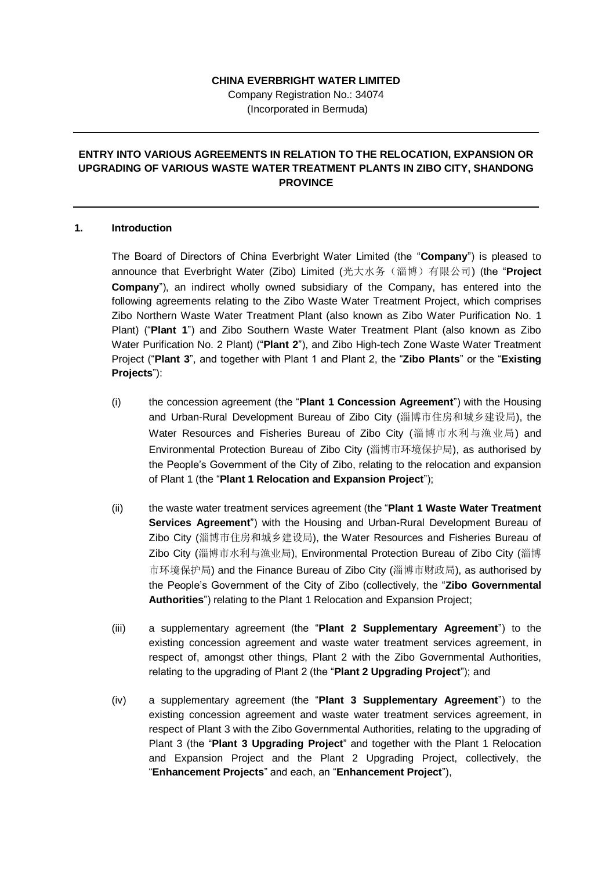#### **CHINA EVERBRIGHT WATER LIMITED**

Company Registration No.: 34074 (Incorporated in Bermuda)

# **ENTRY INTO VARIOUS AGREEMENTS IN RELATION TO THE RELOCATION, EXPANSION OR UPGRADING OF VARIOUS WASTE WATER TREATMENT PLANTS IN ZIBO CITY, SHANDONG PROVINCE**

#### **1. Introduction**

The Board of Directors of China Everbright Water Limited (the "**Company**") is pleased to announce that Everbright Water (Zibo) Limited (光大水务(淄博)有限公司) (the "**Project Company**"), an indirect wholly owned subsidiary of the Company, has entered into the following agreements relating to the Zibo Waste Water Treatment Project, which comprises Zibo Northern Waste Water Treatment Plant (also known as Zibo Water Purification No. 1 Plant) ("**Plant 1**") and Zibo Southern Waste Water Treatment Plant (also known as Zibo Water Purification No. 2 Plant) ("**Plant 2**"), and Zibo High-tech Zone Waste Water Treatment Project ("**Plant 3**", and together with Plant 1 and Plant 2, the "**Zibo Plants**" or the "**Existing Projects**"):

- (i) the concession agreement (the "**Plant 1 Concession Agreement**") with the Housing and Urban-Rural Development Bureau of Zibo City (淄博市住房和城乡建设局), the Water Resources and Fisheries Bureau of Zibo City (淄博市水利与渔业局) and Environmental Protection Bureau of Zibo City (淄博市环境保护局), as authorised by the People's Government of the City of Zibo, relating to the relocation and expansion of Plant 1 (the "**Plant 1 Relocation and Expansion Project**");
- (ii) the waste water treatment services agreement (the "**Plant 1 Waste Water Treatment Services Agreement**") with the Housing and Urban-Rural Development Bureau of Zibo City (淄博市住房和城乡建设局), the Water Resources and Fisheries Bureau of Zibo City (淄博市水利与渔业局), Environmental Protection Bureau of Zibo City (淄博 市环境保护局) and the Finance Bureau of Zibo City (淄博市财政局), as authorised by the People's Government of the City of Zibo (collectively, the "**Zibo Governmental Authorities**") relating to the Plant 1 Relocation and Expansion Project;
- (iii) a supplementary agreement (the "**Plant 2 Supplementary Agreement**") to the existing concession agreement and waste water treatment services agreement, in respect of, amongst other things, Plant 2 with the Zibo Governmental Authorities, relating to the upgrading of Plant 2 (the "**Plant 2 Upgrading Project**"); and
- (iv) a supplementary agreement (the "**Plant 3 Supplementary Agreement**") to the existing concession agreement and waste water treatment services agreement, in respect of Plant 3 with the Zibo Governmental Authorities, relating to the upgrading of Plant 3 (the "**Plant 3 Upgrading Project**" and together with the Plant 1 Relocation and Expansion Project and the Plant 2 Upgrading Project, collectively, the "**Enhancement Projects**" and each, an "**Enhancement Project**"),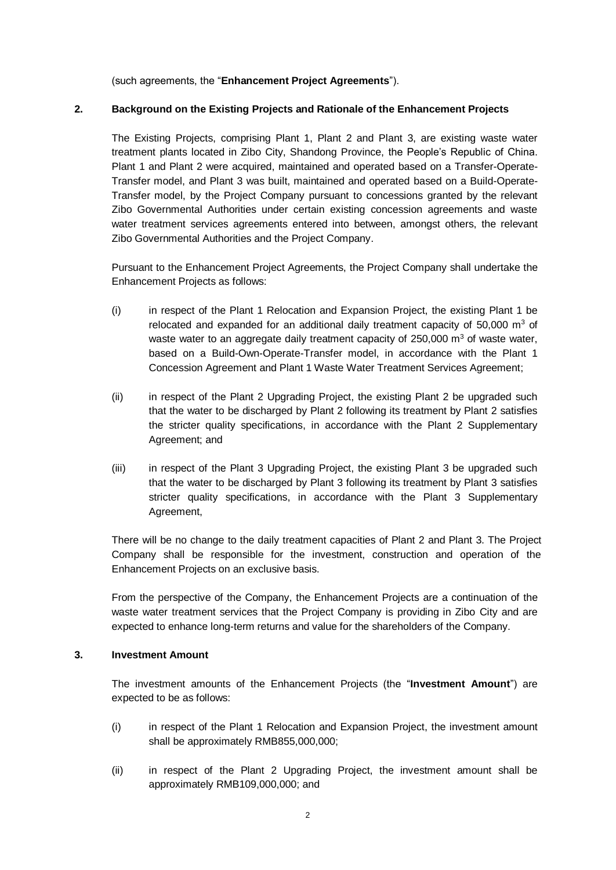(such agreements, the "**Enhancement Project Agreements**").

## **2. Background on the Existing Projects and Rationale of the Enhancement Projects**

The Existing Projects, comprising Plant 1, Plant 2 and Plant 3, are existing waste water treatment plants located in Zibo City, Shandong Province, the People's Republic of China. Plant 1 and Plant 2 were acquired, maintained and operated based on a Transfer-Operate-Transfer model, and Plant 3 was built, maintained and operated based on a Build-Operate-Transfer model, by the Project Company pursuant to concessions granted by the relevant Zibo Governmental Authorities under certain existing concession agreements and waste water treatment services agreements entered into between, amongst others, the relevant Zibo Governmental Authorities and the Project Company.

Pursuant to the Enhancement Project Agreements, the Project Company shall undertake the Enhancement Projects as follows:

- (i) in respect of the Plant 1 Relocation and Expansion Project, the existing Plant 1 be relocated and expanded for an additional daily treatment capacity of  $50,000 \, \text{m}^3$  of waste water to an aggregate daily treatment capacity of  $250,000$  m<sup>3</sup> of waste water, based on a Build-Own-Operate-Transfer model, in accordance with the Plant 1 Concession Agreement and Plant 1 Waste Water Treatment Services Agreement;
- (ii) in respect of the Plant 2 Upgrading Project, the existing Plant 2 be upgraded such that the water to be discharged by Plant 2 following its treatment by Plant 2 satisfies the stricter quality specifications, in accordance with the Plant 2 Supplementary Agreement; and
- (iii) in respect of the Plant 3 Upgrading Project, the existing Plant 3 be upgraded such that the water to be discharged by Plant 3 following its treatment by Plant 3 satisfies stricter quality specifications, in accordance with the Plant 3 Supplementary Agreement,

There will be no change to the daily treatment capacities of Plant 2 and Plant 3. The Project Company shall be responsible for the investment, construction and operation of the Enhancement Projects on an exclusive basis.

From the perspective of the Company, the Enhancement Projects are a continuation of the waste water treatment services that the Project Company is providing in Zibo City and are expected to enhance long-term returns and value for the shareholders of the Company.

## **3. Investment Amount**

The investment amounts of the Enhancement Projects (the "**Investment Amount**") are expected to be as follows:

- (i) in respect of the Plant 1 Relocation and Expansion Project, the investment amount shall be approximately RMB855,000,000;
- (ii) in respect of the Plant 2 Upgrading Project, the investment amount shall be approximately RMB109,000,000; and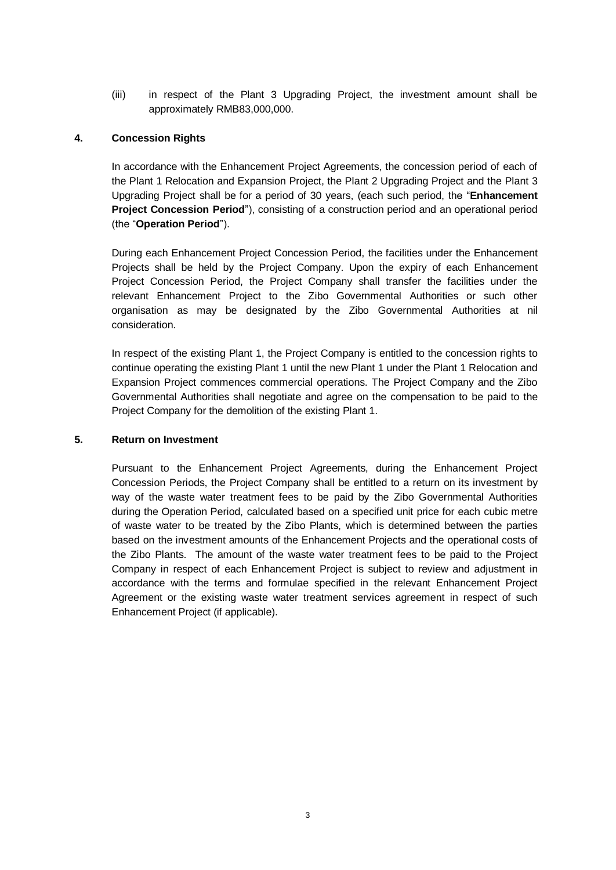(iii) in respect of the Plant 3 Upgrading Project, the investment amount shall be approximately RMB83,000,000.

## **4. Concession Rights**

In accordance with the Enhancement Project Agreements, the concession period of each of the Plant 1 Relocation and Expansion Project, the Plant 2 Upgrading Project and the Plant 3 Upgrading Project shall be for a period of 30 years, (each such period, the "**Enhancement Project Concession Period**"), consisting of a construction period and an operational period (the "**Operation Period**").

During each Enhancement Project Concession Period, the facilities under the Enhancement Projects shall be held by the Project Company. Upon the expiry of each Enhancement Project Concession Period, the Project Company shall transfer the facilities under the relevant Enhancement Project to the Zibo Governmental Authorities or such other organisation as may be designated by the Zibo Governmental Authorities at nil consideration.

In respect of the existing Plant 1, the Project Company is entitled to the concession rights to continue operating the existing Plant 1 until the new Plant 1 under the Plant 1 Relocation and Expansion Project commences commercial operations. The Project Company and the Zibo Governmental Authorities shall negotiate and agree on the compensation to be paid to the Project Company for the demolition of the existing Plant 1.

#### **5. Return on Investment**

Pursuant to the Enhancement Project Agreements, during the Enhancement Project Concession Periods, the Project Company shall be entitled to a return on its investment by way of the waste water treatment fees to be paid by the Zibo Governmental Authorities during the Operation Period, calculated based on a specified unit price for each cubic metre of waste water to be treated by the Zibo Plants, which is determined between the parties based on the investment amounts of the Enhancement Projects and the operational costs of the Zibo Plants. The amount of the waste water treatment fees to be paid to the Project Company in respect of each Enhancement Project is subject to review and adjustment in accordance with the terms and formulae specified in the relevant Enhancement Project Agreement or the existing waste water treatment services agreement in respect of such Enhancement Project (if applicable).